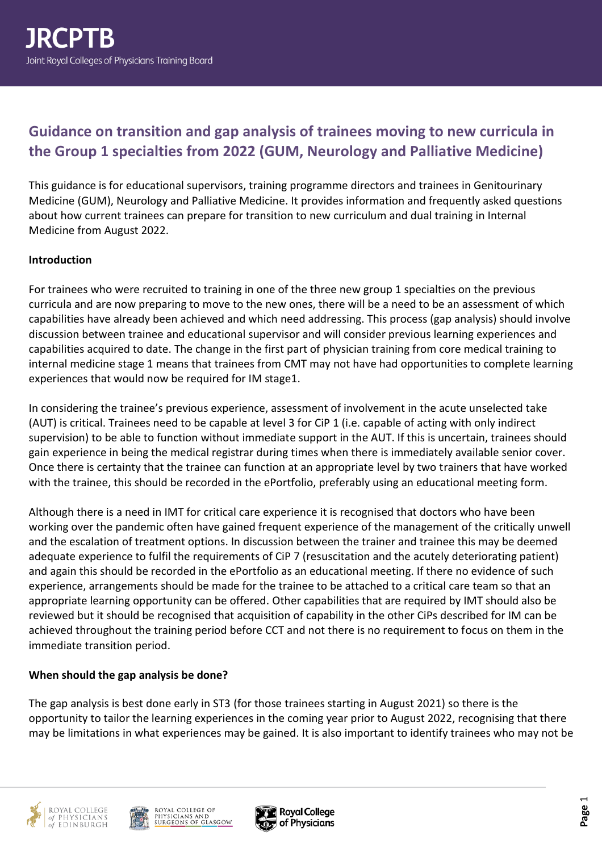# **Guidance on transition and gap analysis of trainees moving to new curricula in the Group 1 specialties from 2022 (GUM, Neurology and Palliative Medicine)**

This guidance is for educational supervisors, training programme directors and trainees in Genitourinary Medicine (GUM), Neurology and Palliative Medicine. It provides information and frequently asked questions about how current trainees can prepare for transition to new curriculum and dual training in Internal Medicine from August 2022.

#### **Introduction**

For trainees who were recruited to training in one of the three new group 1 specialties on the previous curricula and are now preparing to move to the new ones, there will be a need to be an assessment of which capabilities have already been achieved and which need addressing. This process (gap analysis) should involve discussion between trainee and educational supervisor and will consider previous learning experiences and capabilities acquired to date. The change in the first part of physician training from core medical training to internal medicine stage 1 means that trainees from CMT may not have had opportunities to complete learning experiences that would now be required for IM stage1.

In considering the trainee's previous experience, assessment of involvement in the acute unselected take (AUT) is critical. Trainees need to be capable at level 3 for CiP 1 (i.e. capable of acting with only indirect supervision) to be able to function without immediate support in the AUT. If this is uncertain, trainees should gain experience in being the medical registrar during times when there is immediately available senior cover. Once there is certainty that the trainee can function at an appropriate level by two trainers that have worked with the trainee, this should be recorded in the ePortfolio, preferably using an educational meeting form.

Although there is a need in IMT for critical care experience it is recognised that doctors who have been working over the pandemic often have gained frequent experience of the management of the critically unwell and the escalation of treatment options. In discussion between the trainer and trainee this may be deemed adequate experience to fulfil the requirements of CiP 7 (resuscitation and the acutely deteriorating patient) and again this should be recorded in the ePortfolio as an educational meeting. If there no evidence of such experience, arrangements should be made for the trainee to be attached to a critical care team so that an appropriate learning opportunity can be offered. Other capabilities that are required by IMT should also be reviewed but it should be recognised that acquisition of capability in the other CiPs described for IM can be achieved throughout the training period before CCT and not there is no requirement to focus on them in the immediate transition period.

#### **When should the gap analysis be done?**

The gap analysis is best done early in ST3 (for those trainees starting in August 2021) so there is the opportunity to tailor the learning experiences in the coming year prior to August 2022, recognising that there may be limitations in what experiences may be gained. It is also important to identify trainees who may not be





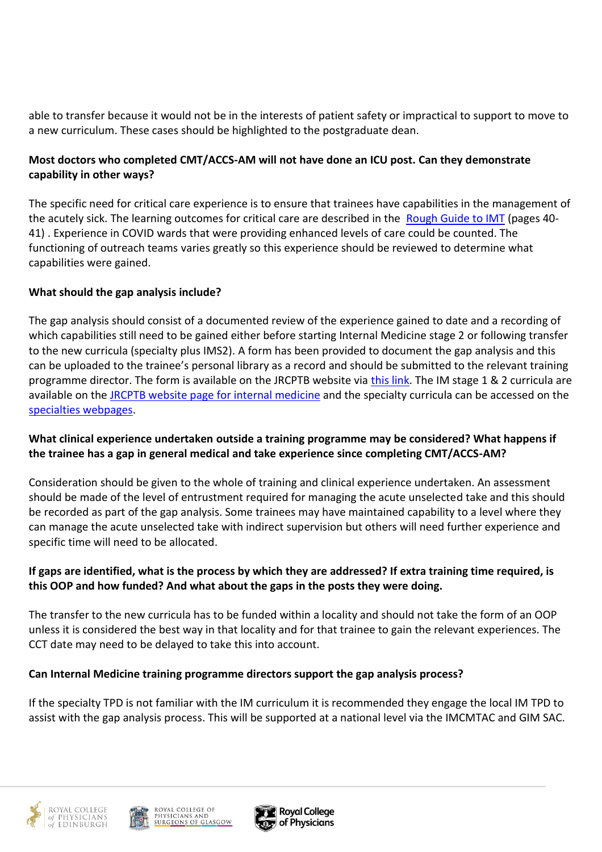able to transfer because it would not be in the interests of patient safety or impractical to support to move to a new curriculum. These cases should be highlighted to the postgraduate dean.

## **Most doctors who completed CMT/ACCS-AM will not have done an ICU post. Can they demonstrate capability in other ways?**

The specific need for critical care experience is to ensure that trainees have capabilities in the management of the acutely sick. The learning outcomes for critical care are described in the [Rough Guide to IMT](https://www.jrcptb.org.uk/sites/default/files/Rough%20guide%20to%20IMT%20revised%20May%202020.pdf) (pages 40- 41) . Experience in COVID wards that were providing enhanced levels of care could be counted. The functioning of outreach teams varies greatly so this experience should be reviewed to determine what capabilities were gained.

## **What should the gap analysis include?**

The gap analysis should consist of a documented review of the experience gained to date and a recording of which capabilities still need to be gained either before starting Internal Medicine stage 2 or following transfer to the new curricula (specialty plus IMS2). A form has been provided to document the gap analysis and this can be uploaded to the trainee's personal library as a record and should be submitted to the relevant training programme director. The form is available on the JRCPTB website via [this link.](https://www.jrcptb.org.uk/documents/new-group-1-specialties-gap-analysis-form-2021) The IM stage 1 & 2 curricula are available on th[e JRCPTB website page for internal medicine](https://www.jrcptb.org.uk/internal-medicine) and the specialty curricula can be accessed on the [specialties webpages.](https://www.jrcptb.org.uk/specialties)

## **What clinical experience undertaken outside a training programme may be considered? What happens if the trainee has a gap in general medical and take experience since completing CMT/ACCS-AM?**

Consideration should be given to the whole of training and clinical experience undertaken. An assessment should be made of the level of entrustment required for managing the acute unselected take and this should be recorded as part of the gap analysis. Some trainees may have maintained capability to a level where they can manage the acute unselected take with indirect supervision but others will need further experience and specific time will need to be allocated.

## **If gaps are identified, what is the process by which they are addressed? If extra training time required, is this OOP and how funded? And what about the gaps in the posts they were doing.**

The transfer to the new curricula has to be funded within a locality and should not take the form of an OOP unless it is considered the best way in that locality and for that trainee to gain the relevant experiences. The CCT date may need to be delayed to take this into account.

#### **Can Internal Medicine training programme directors support the gap analysis process?**

If the specialty TPD is not familiar with the IM curriculum it is recommended they engage the local IM TPD to assist with the gap analysis process. This will be supported at a national level via the IMCMTAC and GIM SAC.